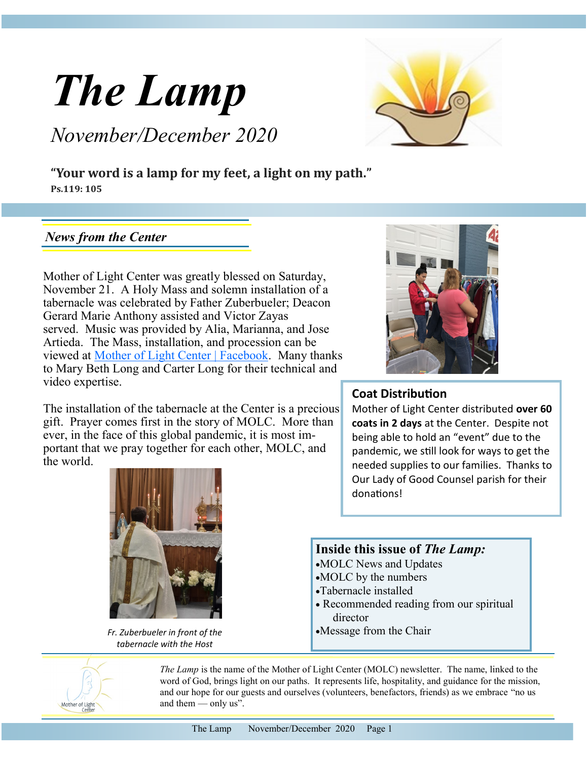

# *November/December 2020*



**"Your word is a lamp for my feet, a light on my path." Ps.119: 105**

#### *News from the Center*

Mother of Light Center was greatly blessed on Saturday, November 21. A Holy Mass and solemn installation of a tabernacle was celebrated by Father Zuberbueler; Deacon Gerard Marie Anthony assisted and Victor Zayas served. Music was provided by Alia, Marianna, and Jose Artieda. The Mass, installation, and procession can be viewed at [Mother of Light Center | Facebook.](https://www.facebook.com/MotherOfLightCenter) Many thanks to Mary Beth Long and Carter Long for their technical and video expertise.

The installation of the tabernacle at the Center is a precious gift. Prayer comes first in the story of MOLC. More than ever, in the face of this global pandemic, it is most important that we pray together for each other, MOLC, and the world.



*Fr. Zuberbueler in front of the tabernacle with the Host* 



#### **Coat Distribution**

Mother of Light Center distributed **over 60 coats in 2 days** at the Center. Despite not being able to hold an "event" due to the pandemic, we still look for ways to get the needed supplies to our families. Thanks to Our Lady of Good Counsel parish for their donations!

#### **Inside this issue of** *The Lamp:*

- •MOLC News and Updates
- •MOLC by the numbers
- •Tabernacle installed
- Recommended reading from our spiritual director
- •Message from the Chair



*The Lamp* is the name of the Mother of Light Center (MOLC) newsletter. The name, linked to the word of God, brings light on our paths. It represents life, hospitality, and guidance for the mission, and our hope for our guests and ourselves (volunteers, benefactors, friends) as we embrace "no us and them — only us".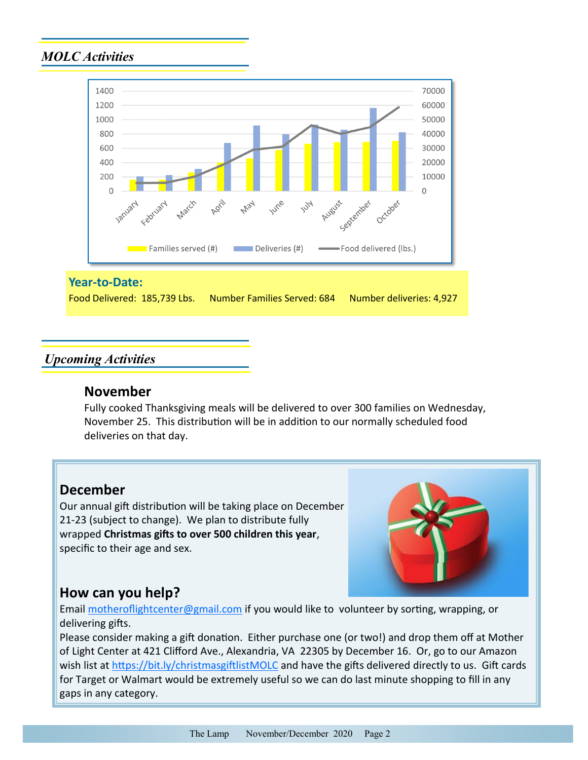## *MOLC Activities*



#### **Year-to-Date:**

Food Delivered: 185,739 Lbs. Number Families Served: 684 Number deliveries: 4,927

#### *Upcoming Activities*

#### **November**

Fully cooked Thanksgiving meals will be delivered to over 300 families on Wednesday, November 25. This distribution will be in addition to our normally scheduled food deliveries on that day.

### **December**

Our annual gift distribution will be taking place on December 21-23 (subject to change). We plan to distribute fully wrapped **Christmas gifts to over 500 children this year**, specific to their age and sex.



# **How can you help?**

Email [motheroflightcenter@gmail.com](mailto:motheroflightcenter@gmail.com) if you would like to volunteer by sorting, wrapping, or delivering gifts.

Please consider making a gift donation. Either purchase one (or two!) and drop them off at Mother of Light Center at 421 Clifford Ave., Alexandria, VA 22305 by December 16. Or, go to our Amazon wish list at [https://bit.ly/christmasgiftlistMOLC](https://smile.amazon.com/hz/charitylist/ls/20HA7TNDMXGNA/ref=smi_cl_wl_rd_cl) and have the gifts delivered directly to us. Gift cards for Target or Walmart would be extremely useful so we can do last minute shopping to fill in any gaps in any category.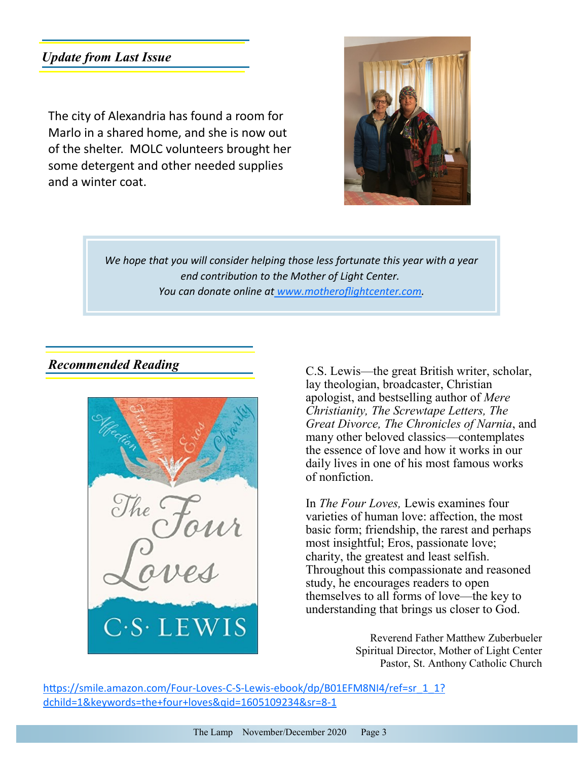# *Update from Last Issue*

The city of Alexandria has found a room for Marlo in a shared home, and she is now out of the shelter. MOLC volunteers brought her some detergent and other needed supplies and a winter coat.



*We hope that you will consider helping those less fortunate this year with a year end contribution to the Mother of Light Center. You can donate online at [www.motheroflightcenter.com.](mailto: www.motheroflightcenter.com)*

### *Recommended Reading*



C.S. Lewis—the great British writer, scholar, lay theologian, broadcaster, Christian apologist, and bestselling author of *Mere Christianity, The Screwtape Letters, The Great Divorce, The Chronicles of Narnia*, and many other beloved classics—contemplates the essence of love and how it works in our daily lives in one of his most famous works of nonfiction.

In *The Four Loves,* Lewis examines four varieties of human love: affection, the most basic form; friendship, the rarest and perhaps most insightful; Eros, passionate love; charity, the greatest and least selfish. Throughout this compassionate and reasoned study, he encourages readers to open themselves to all forms of love—the key to understanding that brings us closer to God.

> Reverend Father Matthew Zuberbueler Spiritual Director, Mother of Light Center Pastor, St. Anthony Catholic Church

https://smile.amazon.com/Four-Loves-C-S-Lewis-[ebook/dp/B01EFM8NI4/ref=sr\\_1\\_1?](https://smile.amazon.com/Four-Loves-C-S-Lewis-ebook/dp/B01EFM8NI4/ref=sr_1_1?dchild=1&keywords=the+four+loves&qid=1605109234&sr=8-1) [dchild=1&keywords=the+four+loves&qid=1605109234&sr=8](https://smile.amazon.com/Four-Loves-C-S-Lewis-ebook/dp/B01EFM8NI4/ref=sr_1_1?dchild=1&keywords=the+four+loves&qid=1605109234&sr=8-1)-1